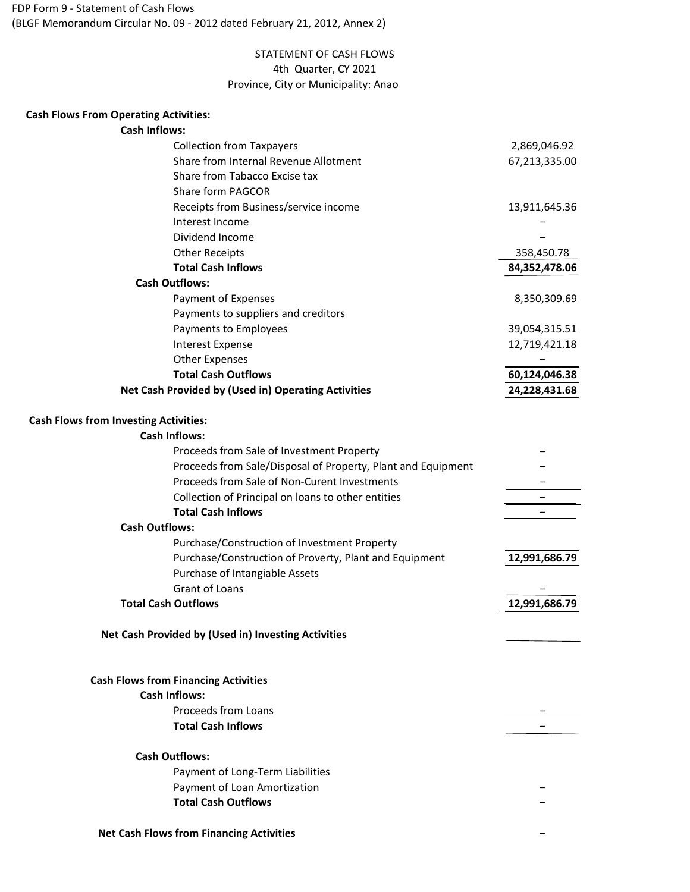## (BLGF Memorandum Circular No. 09 - 2012 dated February 21, 2012, Annex 2) FDP Form 9 - Statement of Cash Flows

# Province, City or Municipality: Anao STATEMENT OF CASH FLOWS 4th Quarter, CY 2021

### **Cash Flows From Operating Activities:**

### **Cash Inflows:**

| <b>Collection from Taxpayers</b>                             | 2,869,046.92  |
|--------------------------------------------------------------|---------------|
| Share from Internal Revenue Allotment                        | 67,213,335.00 |
| Share from Tabacco Excise tax                                |               |
| Share form PAGCOR                                            |               |
| Receipts from Business/service income                        | 13,911,645.36 |
| Interest Income                                              |               |
| Dividend Income                                              |               |
| <b>Other Receipts</b>                                        | 358,450.78    |
| <b>Total Cash Inflows</b>                                    | 84,352,478.06 |
| <b>Cash Outflows:</b>                                        |               |
| Payment of Expenses                                          | 8,350,309.69  |
| Payments to suppliers and creditors                          |               |
| Payments to Employees                                        | 39,054,315.51 |
| Interest Expense                                             | 12,719,421.18 |
| <b>Other Expenses</b>                                        |               |
| <b>Total Cash Outflows</b>                                   | 60,124,046.38 |
| Net Cash Provided by (Used in) Operating Activities          | 24,228,431.68 |
| <b>Cash Flows from Investing Activities:</b>                 |               |
| <b>Cash Inflows:</b>                                         |               |
| Proceeds from Sale of Investment Property                    |               |
| Proceeds from Sale/Disposal of Property, Plant and Equipment |               |
| Proceeds from Sale of Non-Curent Investments                 |               |
| Collection of Principal on loans to other entities           |               |
| <b>Total Cash Inflows</b>                                    |               |
| <b>Cash Outflows:</b>                                        |               |
| Purchase/Construction of Investment Property                 |               |
| Purchase/Construction of Proverty, Plant and Equipment       | 12,991,686.79 |
| Purchase of Intangiable Assets                               |               |
| Grant of Loans                                               |               |
| <b>Total Cash Outflows</b>                                   | 12,991,686.79 |
| Net Cash Provided by (Used in) Investing Activities          |               |
| <b>Cash Flows from Financing Activities</b>                  |               |
| <b>Cash Inflows:</b>                                         |               |
| Proceeds from Loans                                          |               |
| <b>Total Cash Inflows</b>                                    |               |
| <b>Cash Outflows:</b>                                        |               |
| Payment of Long-Term Liabilities                             |               |
| Payment of Loan Amortization                                 |               |
| <b>Total Cash Outflows</b>                                   |               |

−

### **Net Cash Flows from Financing Activities**